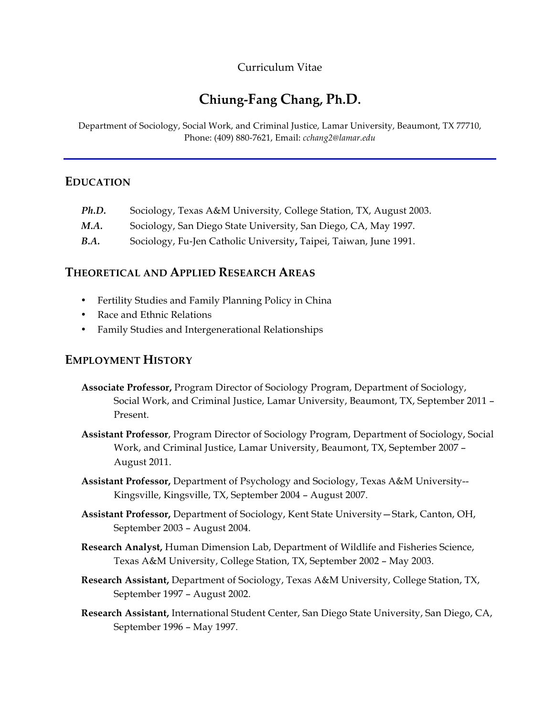# Curriculum Vitae

# **Chiung-Fang Chang, Ph.D.**

Department of Sociology, Social Work, and Criminal Justice, Lamar University, Beaumont, TX 77710, Phone: (409) 880-7621, Email: *cchang2@lamar.edu*

## **EDUCATION**

| Ph.D.       | Sociology, Texas A&M University, College Station, TX, August 2003. |
|-------------|--------------------------------------------------------------------|
| M.A.        | Sociology, San Diego State University, San Diego, CA, May 1997.    |
| <b>B.A.</b> | Sociology, Fu-Jen Catholic University, Taipei, Taiwan, June 1991.  |

## **THEORETICAL AND APPLIED RESEARCH AREAS**

- Fertility Studies and Family Planning Policy in China
- Race and Ethnic Relations
- Family Studies and Intergenerational Relationships

# **EMPLOYMENT HISTORY**

- **Associate Professor,** Program Director of Sociology Program, Department of Sociology, Social Work, and Criminal Justice, Lamar University, Beaumont, TX, September 2011 – Present.
- **Assistant Professor**, Program Director of Sociology Program, Department of Sociology, Social Work, and Criminal Justice, Lamar University, Beaumont, TX, September 2007 – August 2011.
- **Assistant Professor,** Department of Psychology and Sociology, Texas A&M University-- Kingsville, Kingsville, TX, September 2004 – August 2007.
- **Assistant Professor,** Department of Sociology, Kent State University—Stark, Canton, OH, September 2003 – August 2004.
- **Research Analyst,** Human Dimension Lab, Department of Wildlife and Fisheries Science, Texas A&M University, College Station, TX, September 2002 – May 2003.
- **Research Assistant,** Department of Sociology, Texas A&M University, College Station, TX, September 1997 – August 2002.
- **Research Assistant,** International Student Center, San Diego State University, San Diego, CA, September 1996 – May 1997.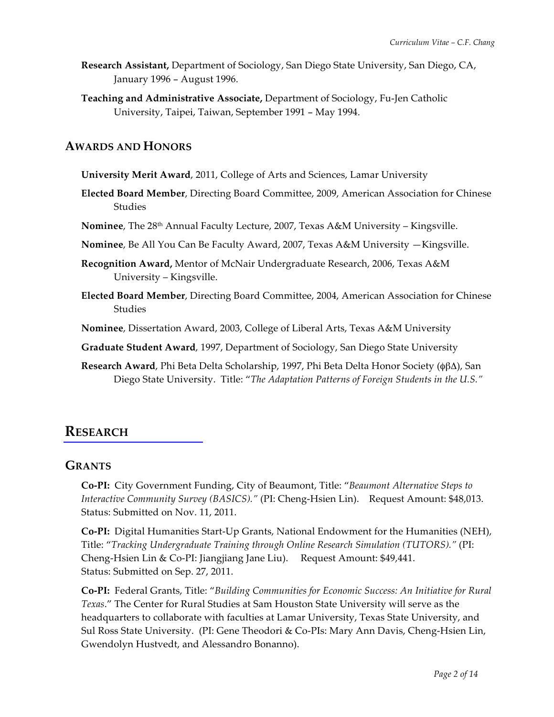- **Research Assistant,** Department of Sociology, San Diego State University, San Diego, CA, January 1996 – August 1996.
- **Teaching and Administrative Associate,** Department of Sociology, Fu-Jen Catholic University, Taipei, Taiwan, September 1991 – May 1994.

## **AWARDS AND HONORS**

- **University Merit Award**, 2011, College of Arts and Sciences, Lamar University
- **Elected Board Member**, Directing Board Committee, 2009, American Association for Chinese **Studies**
- **Nominee**, The 28th Annual Faculty Lecture, 2007, Texas A&M University Kingsville.
- **Nominee**, Be All You Can Be Faculty Award, 2007, Texas A&M University —Kingsville.
- **Recognition Award,** Mentor of McNair Undergraduate Research, 2006, Texas A&M University – Kingsville.
- **Elected Board Member**, Directing Board Committee, 2004, American Association for Chinese **Studies**

**Nominee**, Dissertation Award, 2003, College of Liberal Arts, Texas A&M University

**Graduate Student Award**, 1997, Department of Sociology, San Diego State University

**Research Award**, Phi Beta Delta Scholarship, 1997, Phi Beta Delta Honor Society (φβΔ), San Diego State University. Title: "*The Adaptation Patterns of Foreign Students in the U.S."*

# **RESEARCH**

## **GRANTS**

**Co-PI:** City Government Funding, City of Beaumont, Title: "*Beaumont Alternative Steps to Interactive Community Survey (BASICS)."* (PI: Cheng-Hsien Lin). Request Amount: \$48,013. Status: Submitted on Nov. 11, 2011.

**Co-PI:** Digital Humanities Start-Up Grants, National Endowment for the Humanities (NEH), Title: "*Tracking Undergraduate Training through Online Research Simulation (TUTORS)."* (PI: Cheng-Hsien Lin & Co-PI: Jiangjiang Jane Liu). Request Amount: \$49,441. Status: Submitted on Sep. 27, 2011.

**Co-PI:** Federal Grants, Title: "*Building Communities for Economic Success: An Initiative for Rural Texas*." The Center for Rural Studies at Sam Houston State University will serve as the headquarters to collaborate with faculties at Lamar University, Texas State University, and Sul Ross State University. (PI: Gene Theodori & Co-PIs: Mary Ann Davis, Cheng-Hsien Lin, Gwendolyn Hustvedt, and Alessandro Bonanno).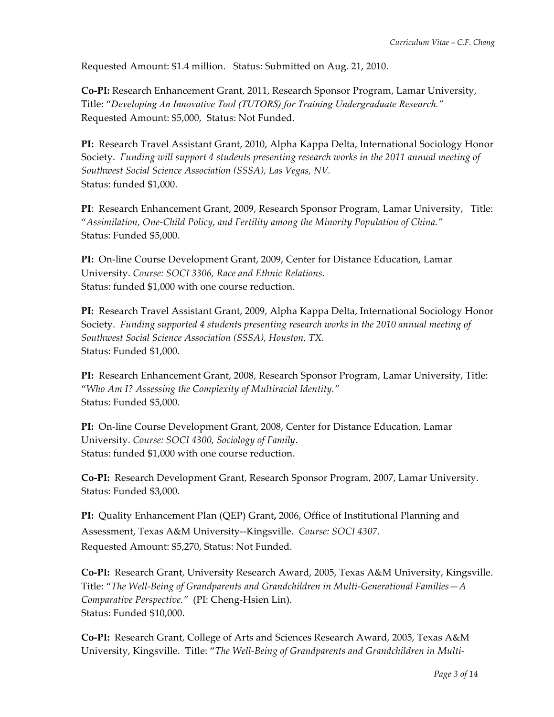Requested Amount: \$1.4 million. Status: Submitted on Aug. 21, 2010.

**Co-PI:** Research Enhancement Grant, 2011, Research Sponsor Program, Lamar University, Title: "*Developing An Innovative Tool (TUTORS) for Training Undergraduate Research."* Requested Amount: \$5,000, Status: Not Funded.

**PI:** Research Travel Assistant Grant, 2010, Alpha Kappa Delta, International Sociology Honor Society. *Funding will support 4 students presenting research works in the 2011 annual meeting of Southwest Social Science Association (SSSA), Las Vegas, NV.* Status: funded \$1,000.

**PI**: Research Enhancement Grant, 2009, Research Sponsor Program, Lamar University, Title: "*Assimilation, One-Child Policy, and Fertility among the Minority Population of China."* Status: Funded \$5,000.

**PI:** On-line Course Development Grant, 2009, Center for Distance Education, Lamar University. *Course: SOCI 3306, Race and Ethnic Relations*. Status: funded \$1,000 with one course reduction.

**PI:** Research Travel Assistant Grant, 2009, Alpha Kappa Delta, International Sociology Honor Society. *Funding supported 4 students presenting research works in the 2010 annual meeting of Southwest Social Science Association (SSSA), Houston, TX.* Status: Funded \$1,000.

**PI:** Research Enhancement Grant, 2008, Research Sponsor Program, Lamar University, Title: "*Who Am I? Assessing the Complexity of Multiracial Identity."* Status: Funded \$5,000.

**PI:** On-line Course Development Grant, 2008, Center for Distance Education, Lamar University. *Course: SOCI 4300, Sociology of Family*. Status: funded \$1,000 with one course reduction.

**Co-PI:** Research Development Grant, Research Sponsor Program, 2007, Lamar University. Status: Funded \$3,000.

**PI:** Quality Enhancement Plan (QEP) Grant**,** 2006, Office of Institutional Planning and Assessment, Texas A&M University--Kingsville. *Course: SOCI 4307.* Requested Amount: \$5,270, Status: Not Funded.

**Co-PI:** Research Grant, University Research Award, 2005, Texas A&M University, Kingsville. Title: "*The Well-Being of Grandparents and Grandchildren in Multi-Generational Families—A Comparative Perspective."* (PI: Cheng-Hsien Lin). Status: Funded \$10,000.

**Co-PI:** Research Grant, College of Arts and Sciences Research Award, 2005, Texas A&M University, Kingsville. Title: "*The Well-Being of Grandparents and Grandchildren in Multi-*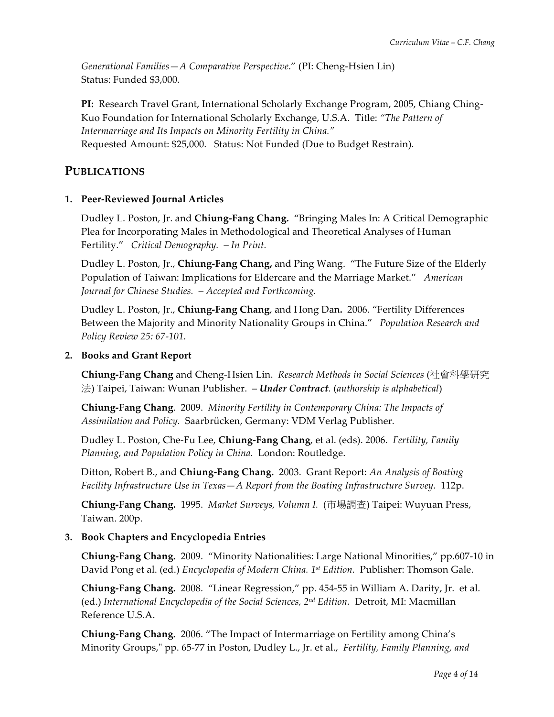*Generational Families—A Comparative Perspective*." (PI: Cheng-Hsien Lin) Status: Funded \$3,000.

**PI:** Research Travel Grant, International Scholarly Exchange Program, 2005, Chiang Ching-Kuo Foundation for International Scholarly Exchange, U.S.A. Title: *"The Pattern of Intermarriage and Its Impacts on Minority Fertility in China."* Requested Amount: \$25,000. Status: Not Funded (Due to Budget Restrain).

# **PUBLICATIONS**

### **1. Peer-Reviewed Journal Articles**

Dudley L. Poston, Jr. and **Chiung-Fang Chang.** "Bringing Males In: A Critical Demographic Plea for Incorporating Males in Methodological and Theoretical Analyses of Human Fertility." *Critical Demography. – In Print.*

Dudley L. Poston, Jr., **Chiung-Fang Chang,** and Ping Wang. "The Future Size of the Elderly Population of Taiwan: Implications for Eldercare and the Marriage Market." *American Journal for Chinese Studies. – Accepted and Forthcoming.*

Dudley L. Poston, Jr., **Chiung-Fang Chang**, and Hong Dan**.** 2006. "Fertility Differences Between the Majority and Minority Nationality Groups in China." *Population Research and Policy Review 25: 67-101.* 

### **2. Books and Grant Report**

**Chiung-Fang Chang** and Cheng-Hsien Lin. *Research Methods in Social Sciences* (社會科學研究 法) Taipei, Taiwan: Wunan Publisher. – *Under Contract.* (*authorship is alphabetical*)

**Chiung-Fang Chang**. 2009. *Minority Fertility in Contemporary China: The Impacts of Assimilation and Policy.* Saarbrücken, Germany: VDM Verlag Publisher.

Dudley L. Poston, Che-Fu Lee, **Chiung-Fang Chang**, et al. (eds). 2006. *Fertility, Family Planning, and Population Policy in China.* London: Routledge.

Ditton, Robert B., and **Chiung-Fang Chang.** 2003. Grant Report: *An Analysis of Boating Facility Infrastructure Use in Texas—A Report from the Boating Infrastructure Survey.* 112p.

**Chiung-Fang Chang.** 1995. *Market Surveys, Volumn I.* (市場調查) Taipei: Wuyuan Press, Taiwan. 200p.

### **3. Book Chapters and Encyclopedia Entries**

**Chiung-Fang Chang.** 2009. "Minority Nationalities: Large National Minorities," pp.607-10 in David Pong et al. (ed.) *Encyclopedia of Modern China. 1st Edition.* Publisher: Thomson Gale.

**Chiung-Fang Chang.** 2008. "Linear Regression," pp. 454-55 in William A. Darity, Jr. et al. (ed.) *International Encyclopedia of the Social Sciences, 2nd Edition.* Detroit, MI: Macmillan Reference U.S.A.

**Chiung-Fang Chang.** 2006. "The Impact of Intermarriage on Fertility among China's Minority Groups," pp. 65-77 in Poston, Dudley L., Jr. et al., *Fertility, Family Planning, and*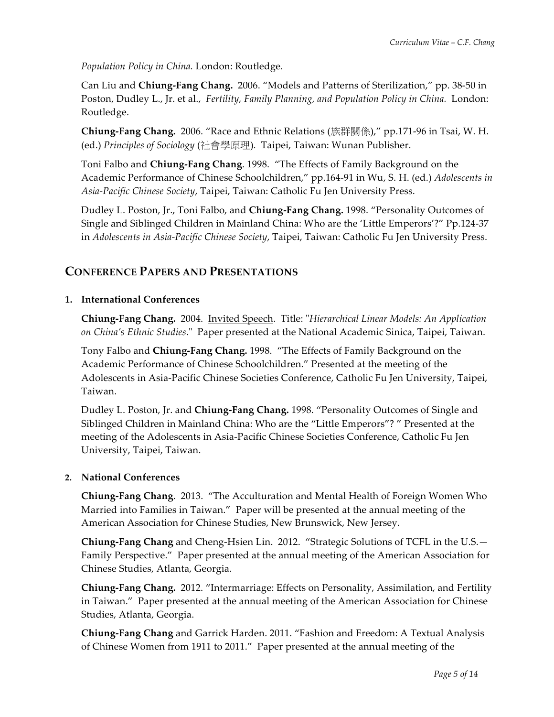*Population Policy in China.* London: Routledge.

Can Liu and **Chiung-Fang Chang.** 2006. "Models and Patterns of Sterilization," pp. 38-50 in Poston, Dudley L., Jr. et al., *Fertility, Family Planning, and Population Policy in China.* London: Routledge.

**Chiung-Fang Chang.** 2006. "Race and Ethnic Relations (族群關係)," pp.171-96 in Tsai, W. H. (ed.) *Principles of Sociology* (社會學原理)*.* Taipei, Taiwan: Wunan Publisher.

Toni Falbo and **Chiung-Fang Chang**. 1998. "The Effects of Family Background on the Academic Performance of Chinese Schoolchildren," pp.164-91 in Wu, S. H. (ed.) *Adolescents in Asia-Pacific Chinese Society*, Taipei, Taiwan: Catholic Fu Jen University Press.

Dudley L. Poston, Jr., Toni Falbo, and **Chiung-Fang Chang.** 1998. "Personality Outcomes of Single and Siblinged Children in Mainland China: Who are the 'Little Emperors'?" Pp.124-37 in *Adolescents in Asia-Pacific Chinese Society*, Taipei, Taiwan: Catholic Fu Jen University Press.

## **CONFERENCE PAPERS AND PRESENTATIONS**

### **1. International Conferences**

**Chiung-Fang Chang.** 2004. Invited Speech. Title: "*Hierarchical Linear Models: An Application on China's Ethnic Studies*." Paper presented at the National Academic Sinica, Taipei, Taiwan.

Tony Falbo and **Chiung-Fang Chang.** 1998. "The Effects of Family Background on the Academic Performance of Chinese Schoolchildren." Presented at the meeting of the Adolescents in Asia-Pacific Chinese Societies Conference, Catholic Fu Jen University, Taipei, Taiwan.

Dudley L. Poston, Jr. and **Chiung-Fang Chang.** 1998. "Personality Outcomes of Single and Siblinged Children in Mainland China: Who are the "Little Emperors"? " Presented at the meeting of the Adolescents in Asia-Pacific Chinese Societies Conference, Catholic Fu Jen University, Taipei, Taiwan.

#### **2. National Conferences**

**Chiung-Fang Chang**. 2013. "The Acculturation and Mental Health of Foreign Women Who Married into Families in Taiwan." Paper will be presented at the annual meeting of the American Association for Chinese Studies, New Brunswick, New Jersey.

**Chiung-Fang Chang** and Cheng-Hsien Lin. 2012. "Strategic Solutions of TCFL in the U.S.— Family Perspective." Paper presented at the annual meeting of the American Association for Chinese Studies, Atlanta, Georgia.

**Chiung-Fang Chang.** 2012. "Intermarriage: Effects on Personality, Assimilation, and Fertility in Taiwan." Paper presented at the annual meeting of the American Association for Chinese Studies, Atlanta, Georgia.

**Chiung-Fang Chang** and Garrick Harden. 2011. "Fashion and Freedom: A Textual Analysis of Chinese Women from 1911 to 2011." Paper presented at the annual meeting of the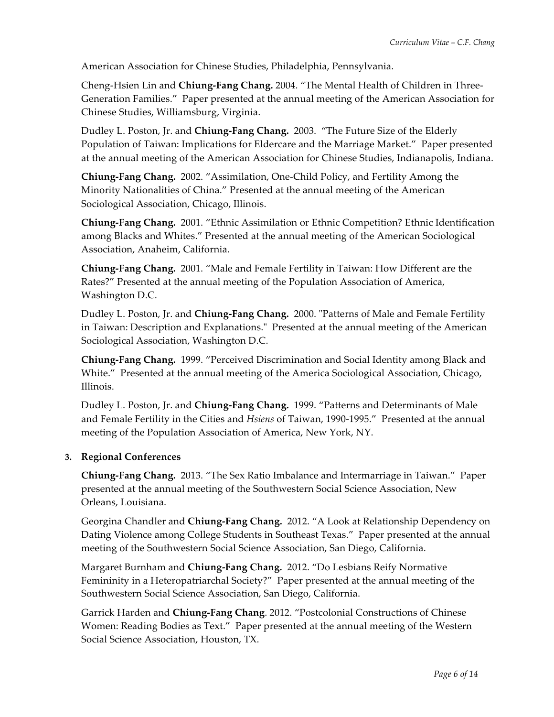American Association for Chinese Studies, Philadelphia, Pennsylvania.

Cheng-Hsien Lin and **Chiung-Fang Chang.** 2004. "The Mental Health of Children in Three-Generation Families." Paper presented at the annual meeting of the American Association for Chinese Studies, Williamsburg, Virginia.

Dudley L. Poston, Jr. and **Chiung-Fang Chang.** 2003. "The Future Size of the Elderly Population of Taiwan: Implications for Eldercare and the Marriage Market." Paper presented at the annual meeting of the American Association for Chinese Studies, Indianapolis, Indiana.

**Chiung-Fang Chang.** 2002. "Assimilation, One-Child Policy, and Fertility Among the Minority Nationalities of China." Presented at the annual meeting of the American Sociological Association, Chicago, Illinois.

**Chiung-Fang Chang.** 2001. "Ethnic Assimilation or Ethnic Competition? Ethnic Identification among Blacks and Whites." Presented at the annual meeting of the American Sociological Association, Anaheim, California.

**Chiung-Fang Chang.** 2001. "Male and Female Fertility in Taiwan: How Different are the Rates?" Presented at the annual meeting of the Population Association of America, Washington D.C.

Dudley L. Poston, Jr. and **Chiung-Fang Chang.** 2000. "Patterns of Male and Female Fertility in Taiwan: Description and Explanations." Presented at the annual meeting of the American Sociological Association, Washington D.C.

**Chiung-Fang Chang.** 1999. "Perceived Discrimination and Social Identity among Black and White." Presented at the annual meeting of the America Sociological Association, Chicago, Illinois.

Dudley L. Poston, Jr. and **Chiung-Fang Chang.** 1999. "Patterns and Determinants of Male and Female Fertility in the Cities and *Hsiens* of Taiwan, 1990-1995." Presented at the annual meeting of the Population Association of America, New York, NY.

### **3. Regional Conferences**

**Chiung-Fang Chang.** 2013. "The Sex Ratio Imbalance and Intermarriage in Taiwan." Paper presented at the annual meeting of the Southwestern Social Science Association, New Orleans, Louisiana.

Georgina Chandler and **Chiung-Fang Chang.** 2012. "A Look at Relationship Dependency on Dating Violence among College Students in Southeast Texas." Paper presented at the annual meeting of the Southwestern Social Science Association, San Diego, California.

Margaret Burnham and **Chiung-Fang Chang.** 2012. "Do Lesbians Reify Normative Femininity in a Heteropatriarchal Society?" Paper presented at the annual meeting of the Southwestern Social Science Association, San Diego, California.

Garrick Harden and **Chiung-Fang Chang**. 2012. "Postcolonial Constructions of Chinese Women: Reading Bodies as Text." Paper presented at the annual meeting of the Western Social Science Association, Houston, TX.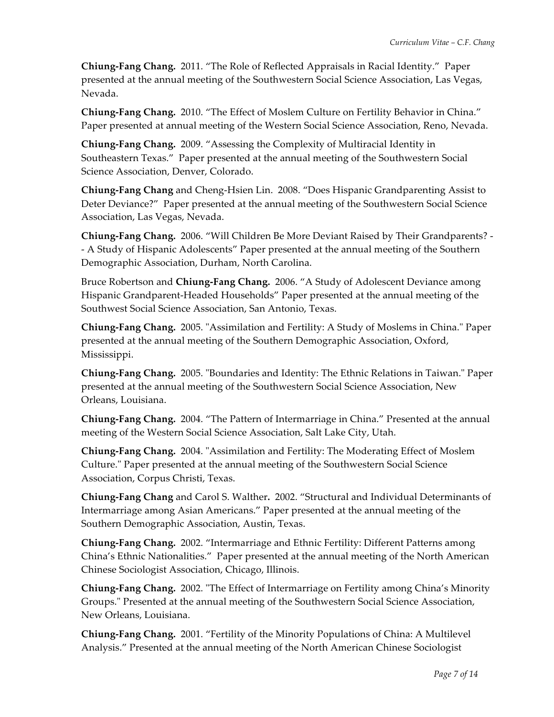**Chiung-Fang Chang.** 2011. "The Role of Reflected Appraisals in Racial Identity." Paper presented at the annual meeting of the Southwestern Social Science Association, Las Vegas, Nevada.

**Chiung-Fang Chang.** 2010. "The Effect of Moslem Culture on Fertility Behavior in China." Paper presented at annual meeting of the Western Social Science Association, Reno, Nevada.

**Chiung-Fang Chang.** 2009. "Assessing the Complexity of Multiracial Identity in Southeastern Texas." Paper presented at the annual meeting of the Southwestern Social Science Association, Denver, Colorado.

**Chiung-Fang Chang** and Cheng-Hsien Lin. 2008. "Does Hispanic Grandparenting Assist to Deter Deviance?" Paper presented at the annual meeting of the Southwestern Social Science Association, Las Vegas, Nevada.

**Chiung-Fang Chang.** 2006. "Will Children Be More Deviant Raised by Their Grandparents? - - A Study of Hispanic Adolescents" Paper presented at the annual meeting of the Southern Demographic Association, Durham, North Carolina.

Bruce Robertson and **Chiung-Fang Chang.** 2006. "A Study of Adolescent Deviance among Hispanic Grandparent-Headed Households" Paper presented at the annual meeting of the Southwest Social Science Association, San Antonio, Texas.

**Chiung-Fang Chang.** 2005. "Assimilation and Fertility: A Study of Moslems in China." Paper presented at the annual meeting of the Southern Demographic Association, Oxford, Mississippi.

**Chiung-Fang Chang.** 2005. "Boundaries and Identity: The Ethnic Relations in Taiwan." Paper presented at the annual meeting of the Southwestern Social Science Association, New Orleans, Louisiana.

**Chiung-Fang Chang.** 2004. "The Pattern of Intermarriage in China." Presented at the annual meeting of the Western Social Science Association, Salt Lake City, Utah.

**Chiung-Fang Chang.** 2004. "Assimilation and Fertility: The Moderating Effect of Moslem Culture." Paper presented at the annual meeting of the Southwestern Social Science Association, Corpus Christi, Texas.

**Chiung-Fang Chang** and Carol S. Walther**.** 2002. "Structural and Individual Determinants of Intermarriage among Asian Americans." Paper presented at the annual meeting of the Southern Demographic Association, Austin, Texas.

**Chiung-Fang Chang.** 2002. "Intermarriage and Ethnic Fertility: Different Patterns among China's Ethnic Nationalities." Paper presented at the annual meeting of the North American Chinese Sociologist Association, Chicago, Illinois.

**Chiung-Fang Chang.** 2002. "The Effect of Intermarriage on Fertility among China's Minority Groups." Presented at the annual meeting of the Southwestern Social Science Association, New Orleans, Louisiana.

**Chiung-Fang Chang.** 2001. "Fertility of the Minority Populations of China: A Multilevel Analysis." Presented at the annual meeting of the North American Chinese Sociologist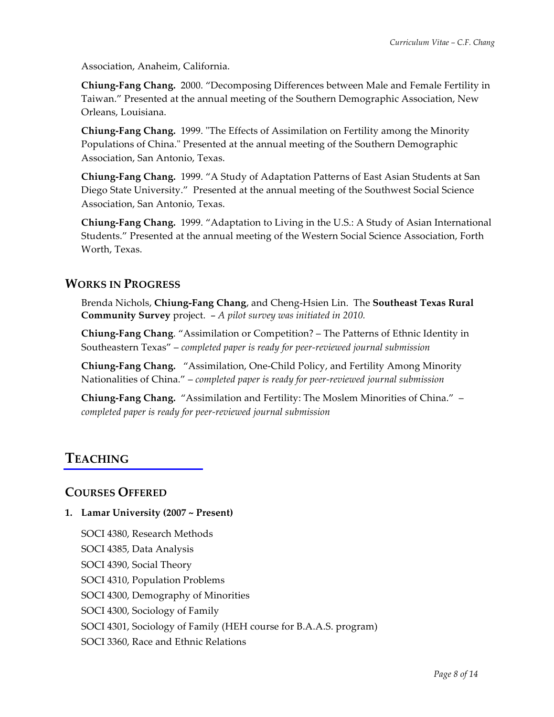Association, Anaheim, California.

**Chiung-Fang Chang.** 2000. "Decomposing Differences between Male and Female Fertility in Taiwan." Presented at the annual meeting of the Southern Demographic Association, New Orleans, Louisiana.

**Chiung-Fang Chang.** 1999. "The Effects of Assimilation on Fertility among the Minority Populations of China." Presented at the annual meeting of the Southern Demographic Association, San Antonio, Texas.

**Chiung-Fang Chang.** 1999. "A Study of Adaptation Patterns of East Asian Students at San Diego State University." Presented at the annual meeting of the Southwest Social Science Association, San Antonio, Texas.

**Chiung-Fang Chang.** 1999. "Adaptation to Living in the U.S.: A Study of Asian International Students." Presented at the annual meeting of the Western Social Science Association, Forth Worth, Texas.

# **WORKS IN PROGRESS**

Brenda Nichols, **Chiung-Fang Chang**, and Cheng-Hsien Lin. The **Southeast Texas Rural Community Survey** project. – *A pilot survey was initiated in 2010.*

**Chiung-Fang Chang**. "Assimilation or Competition? – The Patterns of Ethnic Identity in Southeastern Texas" – *completed paper is ready for peer-reviewed journal submission*

**Chiung-Fang Chang.** "Assimilation, One-Child Policy, and Fertility Among Minority Nationalities of China." – *completed paper is ready for peer-reviewed journal submission*

**Chiung-Fang Chang.** "Assimilation and Fertility: The Moslem Minorities of China." – *completed paper is ready for peer-reviewed journal submission*

# **TEACHING**

# **COURSES OFFERED**

## **1. Lamar University (2007 ~ Present)**

SOCI 4380, Research Methods

SOCI 4385, Data Analysis

SOCI 4390, Social Theory

SOCI 4310, Population Problems

SOCI 4300, Demography of Minorities

SOCI 4300, Sociology of Family

SOCI 4301, Sociology of Family (HEH course for B.A.A.S. program)

SOCI 3360, Race and Ethnic Relations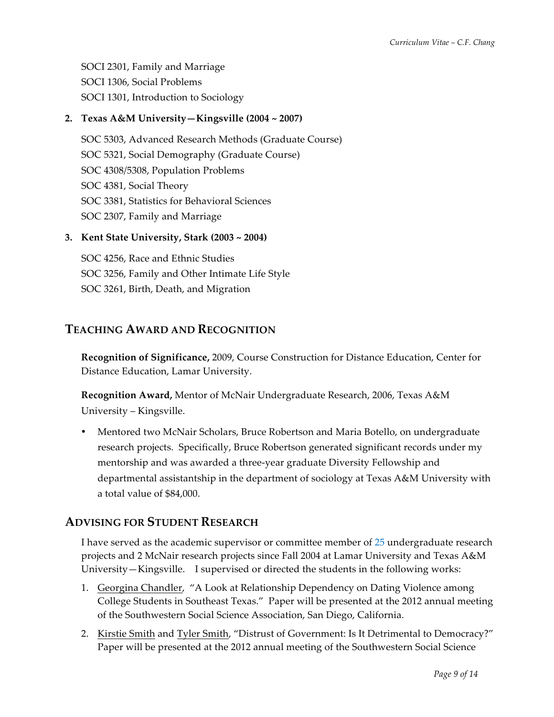SOCI 2301, Family and Marriage SOCI 1306, Social Problems SOCI 1301, Introduction to Sociology

## **2. Texas A&M University—Kingsville (2004 ~ 2007)**

SOC 5303, Advanced Research Methods (Graduate Course) SOC 5321, Social Demography (Graduate Course) SOC 4308/5308, Population Problems SOC 4381, Social Theory SOC 3381, Statistics for Behavioral Sciences SOC 2307, Family and Marriage

### **3. Kent State University, Stark (2003 ~ 2004)**

SOC 4256, Race and Ethnic Studies SOC 3256, Family and Other Intimate Life Style SOC 3261, Birth, Death, and Migration

## **TEACHING AWARD AND RECOGNITION**

**Recognition of Significance,** 2009, Course Construction for Distance Education, Center for Distance Education, Lamar University.

**Recognition Award,** Mentor of McNair Undergraduate Research, 2006, Texas A&M University – Kingsville.

• Mentored two McNair Scholars, Bruce Robertson and Maria Botello, on undergraduate research projects. Specifically, Bruce Robertson generated significant records under my mentorship and was awarded a three-year graduate Diversity Fellowship and departmental assistantship in the department of sociology at Texas A&M University with a total value of \$84,000.

## **ADVISING FOR STUDENT RESEARCH**

I have served as the academic supervisor or committee member of 25 undergraduate research projects and 2 McNair research projects since Fall 2004 at Lamar University and Texas A&M University—Kingsville. I supervised or directed the students in the following works:

- 1. Georgina Chandler, "A Look at Relationship Dependency on Dating Violence among College Students in Southeast Texas." Paper will be presented at the 2012 annual meeting of the Southwestern Social Science Association, San Diego, California.
- 2. Kirstie Smith and Tyler Smith, "Distrust of Government: Is It Detrimental to Democracy?" Paper will be presented at the 2012 annual meeting of the Southwestern Social Science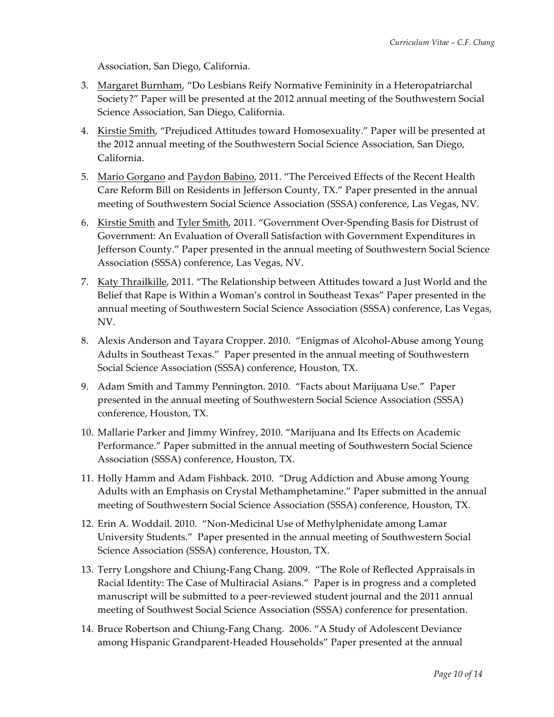Association, San Diego, California.

- 3. Margaret Burnham, "Do Lesbians Reify Normative Femininity in a Heteropatriarchal Society?" Paper will be presented at the 2012 annual meeting of the Southwestern Social Science Association, San Diego, California.
- 4. Kirstie Smith, "Prejudiced Attitudes toward Homosexuality." Paper will be presented at the 2012 annual meeting of the Southwestern Social Science Association, San Diego, California.
- 5. Mario Gorgano and Paydon Babino, 2011. "The Perceived Effects of the Recent Health Care Reform Bill on Residents in Jefferson County, TX." Paper presented in the annual meeting of Southwestern Social Science Association (SSSA) conference, Las Vegas, NV.
- 6. Kirstie Smith and Tyler Smith, 2011. "Government Over-Spending Basis for Distrust of Government: An Evaluation of Overall Satisfaction with Government Expenditures in Jefferson County." Paper presented in the annual meeting of Southwestern Social Science Association (SSSA) conference, Las Vegas, NV.
- 7. Katy Thrailkille, 2011. "The Relationship between Attitudes toward a Just World and the Belief that Rape is Within a Woman's control in Southeast Texas" Paper presented in the annual meeting of Southwestern Social Science Association (SSSA) conference, Las Vegas, NV.
- 8. Alexis Anderson and Tayara Cropper. 2010. "Enigmas of Alcohol-Abuse among Young Adults in Southeast Texas." Paper presented in the annual meeting of Southwestern Social Science Association (SSSA) conference, Houston, TX.
- 9. Adam Smith and Tammy Pennington. 2010. "Facts about Marijuana Use." Paper presented in the annual meeting of Southwestern Social Science Association (SSSA) conference, Houston, TX.
- 10. Mallarie Parker and Jimmy Winfrey, 2010. "Marijuana and Its Effects on Academic Performance." Paper submitted in the annual meeting of Southwestern Social Science Association (SSSA) conference, Houston, TX.
- 11. Holly Hamm and Adam Fishback. 2010. "Drug Addiction and Abuse among Young Adults with an Emphasis on Crystal Methamphetamine." Paper submitted in the annual meeting of Southwestern Social Science Association (SSSA) conference, Houston, TX.
- 12. Erin A. Woddail. 2010. "Non-Medicinal Use of Methylphenidate among Lamar University Students." Paper presented in the annual meeting of Southwestern Social Science Association (SSSA) conference, Houston, TX.
- 13. Terry Longshore and Chiung-Fang Chang. 2009. "The Role of Reflected Appraisals in Racial Identity: The Case of Multiracial Asians." Paper is in progress and a completed manuscript will be submitted to a peer-reviewed student journal and the 2011 annual meeting of Southwest Social Science Association (SSSA) conference for presentation.
- 14. Bruce Robertson and Chiung-Fang Chang.2006. "A Study of Adolescent Deviance among Hispanic Grandparent-Headed Households" Paper presented at the annual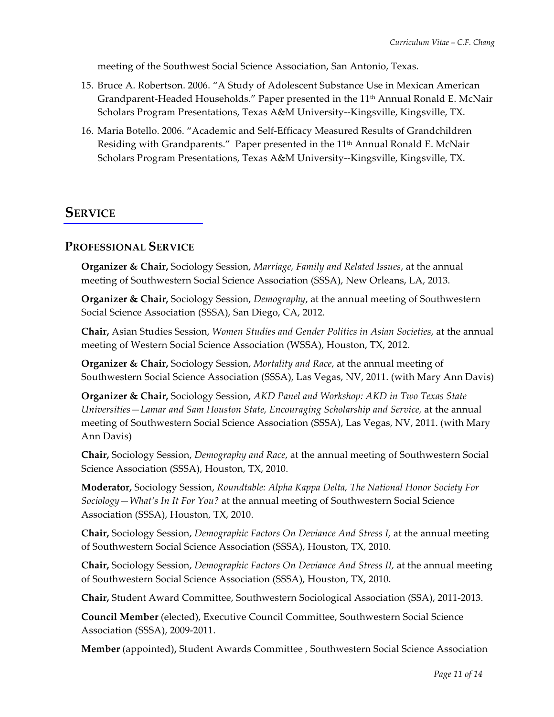meeting of the Southwest Social Science Association, San Antonio, Texas.

- 15. Bruce A. Robertson. 2006. "A Study of Adolescent Substance Use in Mexican American Grandparent-Headed Households." Paper presented in the 11<sup>th</sup> Annual Ronald E. McNair Scholars Program Presentations, Texas A&M University--Kingsville, Kingsville, TX.
- 16. Maria Botello. 2006. "Academic and Self-Efficacy Measured Results of Grandchildren Residing with Grandparents." Paper presented in the 11<sup>th</sup> Annual Ronald E. McNair Scholars Program Presentations, Texas A&M University--Kingsville, Kingsville, TX.

# **SERVICE**

## **PROFESSIONAL SERVICE**

**Organizer & Chair,** Sociology Session, *Marriage, Family and Related Issues*, at the annual meeting of Southwestern Social Science Association (SSSA), New Orleans, LA, 2013.

**Organizer & Chair,** Sociology Session, *Demography*, at the annual meeting of Southwestern Social Science Association (SSSA), San Diego, CA, 2012.

**Chair,** Asian Studies Session, *Women Studies and Gender Politics in Asian Societies*, at the annual meeting of Western Social Science Association (WSSA), Houston, TX, 2012.

**Organizer & Chair,** Sociology Session, *Mortality and Race*, at the annual meeting of Southwestern Social Science Association (SSSA), Las Vegas, NV, 2011. (with Mary Ann Davis)

**Organizer & Chair,** Sociology Session, *AKD Panel and Workshop: AKD in Two Texas State Universities—Lamar and Sam Houston State, Encouraging Scholarship and Service, at the annual* meeting of Southwestern Social Science Association (SSSA), Las Vegas, NV, 2011. (with Mary Ann Davis)

**Chair,** Sociology Session, *Demography and Race*, at the annual meeting of Southwestern Social Science Association (SSSA), Houston, TX, 2010.

**Moderator,** Sociology Session, *Roundtable: Alpha Kappa Delta, The National Honor Society For Sociology—What's In It For You?* at the annual meeting of Southwestern Social Science Association (SSSA), Houston, TX, 2010.

**Chair,** Sociology Session, *Demographic Factors On Deviance And Stress I,* at the annual meeting of Southwestern Social Science Association (SSSA), Houston, TX, 2010.

**Chair,** Sociology Session, *Demographic Factors On Deviance And Stress II,* at the annual meeting of Southwestern Social Science Association (SSSA), Houston, TX, 2010.

**Chair,** Student Award Committee, Southwestern Sociological Association (SSA), 2011-2013.

**Council Member** (elected), Executive Council Committee, Southwestern Social Science Association (SSSA), 2009-2011.

**Member** (appointed)**,** Student Awards Committee , Southwestern Social Science Association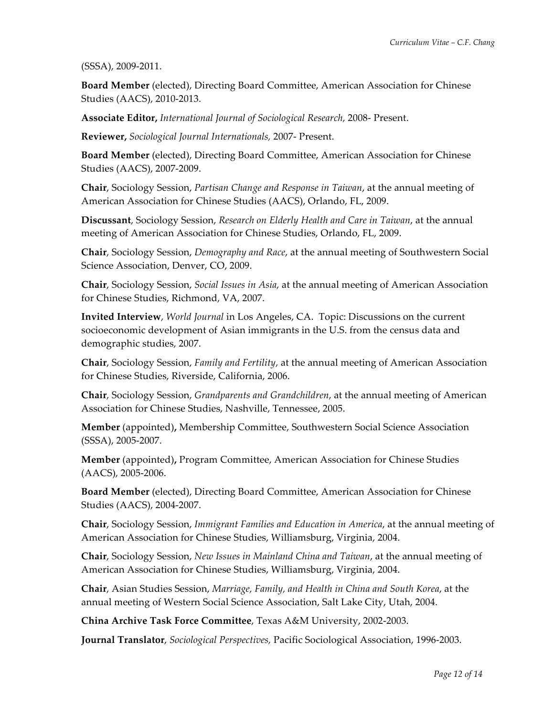(SSSA), 2009-2011.

**Board Member** (elected), Directing Board Committee, American Association for Chinese Studies (AACS), 2010-2013.

**Associate Editor,** *International Journal of Sociological Research,* 2008- Present.

**Reviewer,** *Sociological Journal Internationals,* 2007- Present.

**Board Member** (elected), Directing Board Committee, American Association for Chinese Studies (AACS), 2007-2009.

**Chair**, Sociology Session, *Partisan Change and Response in Taiwan*, at the annual meeting of American Association for Chinese Studies (AACS), Orlando, FL, 2009.

**Discussant**, Sociology Session, *Research on Elderly Health and Care in Taiwan*, at the annual meeting of American Association for Chinese Studies, Orlando, FL, 2009.

**Chair**, Sociology Session, *Demography and Race*, at the annual meeting of Southwestern Social Science Association, Denver, CO, 2009.

**Chair**, Sociology Session, *Social Issues in Asia*, at the annual meeting of American Association for Chinese Studies, Richmond, VA, 2007.

**Invited Interview**, *World Journal* in Los Angeles, CA. Topic: Discussions on the current socioeconomic development of Asian immigrants in the U.S. from the census data and demographic studies, 2007.

**Chair**, Sociology Session, *Family and Fertility*, at the annual meeting of American Association for Chinese Studies, Riverside, California, 2006.

**Chair**, Sociology Session, *Grandparents and Grandchildren*, at the annual meeting of American Association for Chinese Studies, Nashville, Tennessee, 2005.

**Member** (appointed)**,** Membership Committee, Southwestern Social Science Association (SSSA), 2005-2007.

**Member** (appointed)**,** Program Committee, American Association for Chinese Studies (AACS), 2005-2006.

**Board Member** (elected), Directing Board Committee, American Association for Chinese Studies (AACS), 2004-2007.

**Chair**, Sociology Session, *Immigrant Families and Education in America*, at the annual meeting of American Association for Chinese Studies, Williamsburg, Virginia, 2004.

**Chair**, Sociology Session, *New Issues in Mainland China and Taiwan*, at the annual meeting of American Association for Chinese Studies, Williamsburg, Virginia, 2004.

**Chair**, Asian Studies Session, *Marriage, Family, and Health in China and South Korea*, at the annual meeting of Western Social Science Association, Salt Lake City, Utah, 2004.

**China Archive Task Force Committee**, Texas A&M University, 2002-2003.

**Journal Translator**, *Sociological Perspectives,* Pacific Sociological Association, 1996-2003.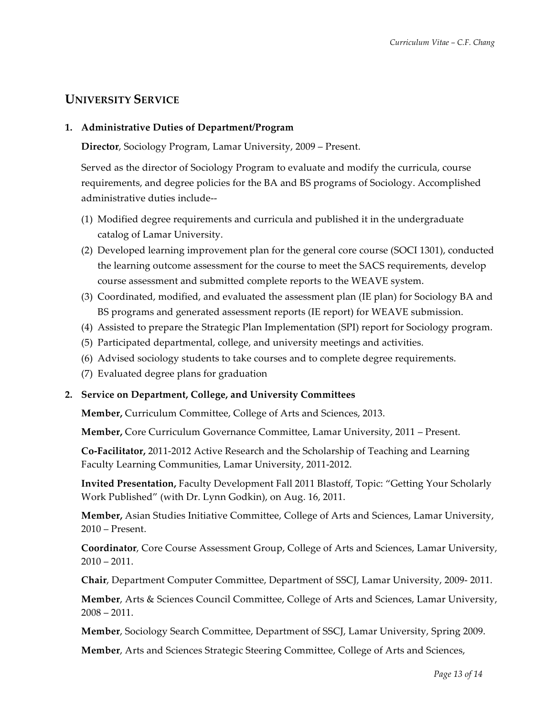# **UNIVERSITY SERVICE**

### **1. Administrative Duties of Department/Program**

**Director**, Sociology Program, Lamar University, 2009 – Present.

Served as the director of Sociology Program to evaluate and modify the curricula, course requirements, and degree policies for the BA and BS programs of Sociology. Accomplished administrative duties include--

- (1) Modified degree requirements and curricula and published it in the undergraduate catalog of Lamar University.
- (2) Developed learning improvement plan for the general core course (SOCI 1301), conducted the learning outcome assessment for the course to meet the SACS requirements, develop course assessment and submitted complete reports to the WEAVE system.
- (3) Coordinated, modified, and evaluated the assessment plan (IE plan) for Sociology BA and BS programs and generated assessment reports (IE report) for WEAVE submission.
- (4) Assisted to prepare the Strategic Plan Implementation (SPI) report for Sociology program.
- (5) Participated departmental, college, and university meetings and activities.
- (6) Advised sociology students to take courses and to complete degree requirements.
- (7) Evaluated degree plans for graduation

### **2. Service on Department, College, and University Committees**

**Member,** Curriculum Committee, College of Arts and Sciences, 2013.

**Member,** Core Curriculum Governance Committee, Lamar University, 2011 – Present.

**Co-Facilitator,** 2011-2012 Active Research and the Scholarship of Teaching and Learning Faculty Learning Communities, Lamar University, 2011-2012.

**Invited Presentation,** Faculty Development Fall 2011 Blastoff, Topic: "Getting Your Scholarly Work Published" (with Dr. Lynn Godkin), on Aug. 16, 2011.

**Member,** Asian Studies Initiative Committee, College of Arts and Sciences, Lamar University, 2010 – Present.

**Coordinator**, Core Course Assessment Group, College of Arts and Sciences, Lamar University,  $2010 - 2011.$ 

**Chair**, Department Computer Committee, Department of SSCJ, Lamar University, 2009- 2011.

**Member**, Arts & Sciences Council Committee, College of Arts and Sciences, Lamar University,  $2008 - 2011.$ 

**Member**, Sociology Search Committee, Department of SSCJ, Lamar University, Spring 2009.

**Member**, Arts and Sciences Strategic Steering Committee, College of Arts and Sciences,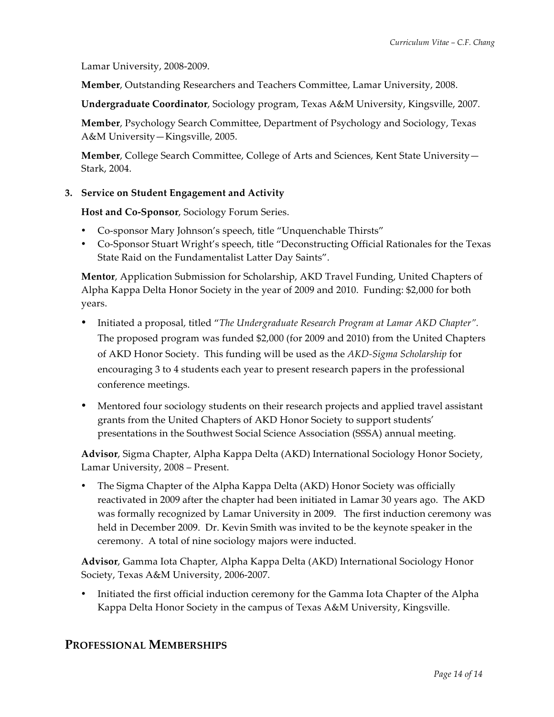Lamar University, 2008-2009.

**Member**, Outstanding Researchers and Teachers Committee, Lamar University, 2008.

**Undergraduate Coordinator**, Sociology program, Texas A&M University, Kingsville, 2007.

**Member**, Psychology Search Committee, Department of Psychology and Sociology, Texas A&M University—Kingsville, 2005.

**Member**, College Search Committee, College of Arts and Sciences, Kent State University— Stark, 2004.

### **3. Service on Student Engagement and Activity**

**Host and Co-Sponsor**, Sociology Forum Series.

- Co-sponsor Mary Johnson's speech, title "Unquenchable Thirsts"
- Co-Sponsor Stuart Wright's speech, title "Deconstructing Official Rationales for the Texas State Raid on the Fundamentalist Latter Day Saints".

**Mentor**, Application Submission for Scholarship, AKD Travel Funding, United Chapters of Alpha Kappa Delta Honor Society in the year of 2009 and 2010. Funding: \$2,000 for both years.

- Initiated a proposal, titled "*The Undergraduate Research Program at Lamar AKD Chapter".*  The proposed program was funded \$2,000 (for 2009 and 2010) from the United Chapters of AKD Honor Society. This funding will be used as the *AKD-Sigma Scholarship* for encouraging 3 to 4 students each year to present research papers in the professional conference meetings.
- Mentored four sociology students on their research projects and applied travel assistant grants from the United Chapters of AKD Honor Society to support students' presentations in the Southwest Social Science Association (SSSA) annual meeting.

**Advisor**, Sigma Chapter, Alpha Kappa Delta (AKD) International Sociology Honor Society, Lamar University, 2008 – Present.

• The Sigma Chapter of the Alpha Kappa Delta (AKD) Honor Society was officially reactivated in 2009 after the chapter had been initiated in Lamar 30 years ago. The AKD was formally recognized by Lamar University in 2009. The first induction ceremony was held in December 2009. Dr. Kevin Smith was invited to be the keynote speaker in the ceremony. A total of nine sociology majors were inducted.

**Advisor**, Gamma Iota Chapter, Alpha Kappa Delta (AKD) International Sociology Honor Society, Texas A&M University, 2006-2007.

• Initiated the first official induction ceremony for the Gamma Iota Chapter of the Alpha Kappa Delta Honor Society in the campus of Texas A&M University, Kingsville.

## **PROFESSIONAL MEMBERSHIPS**